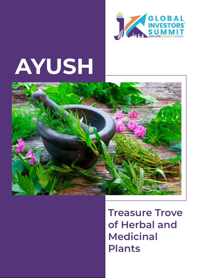

# **AYUSH**



**Treasure Trove of Herbal and Medicinal Plants**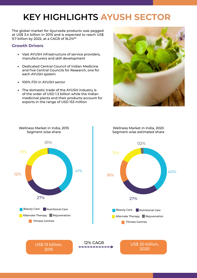# **KEY HIGHLIGHTS AYUSH SECTOR**

The global market for Ayurveda products was pegged at US\$ 3.4 billion in 2015 and is expected to reach US\$ 9.7 billion by 2022, at a CAGR of 16.2%\*\*

#### **Growth Drivers**

- Vast AYUSH infrastructure of service providers, manufacturers and skill development
- Dedicated Central Council of Indian Medicine and five Central Councils for Research, one for each AYUSH system
- 100% FDI in AYUSH sector
- The domestic trade of the AYUSH industry is of the order of USD 1.3 billion while the Indian medicinal plants and their products account for exports in the range of USD 153 million



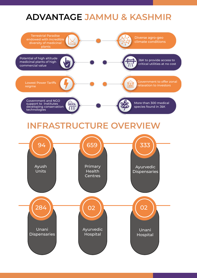# **ADVANTAGE JAMMU & KASHMIR**

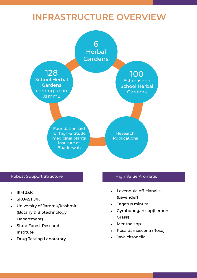# **INFRASTRUCTURE OVERVIEW**



#### Robust Support Structure **High Value Aromatic**

- IIIM J&K
- SKUAST J/K
- University of Jammu/Kashmir (Botany & Biotechnology Department)
- State Forest Research Institute.
- Drug Testing Laboratory

- Levendula officianalis (Levender)
- Tagatus minuta
- Cymbopogan spp(Lemon Grass)
- Mentha spp
- Rosa damascena (Rose)
- Java citronella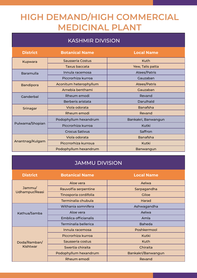# **HIGH DEMAND/HIGH COMMERCIAL MEDICINAL PLANT**

### KASHMIR DIVISION

| <b>District</b>  | <b>Botanical Name</b>  | <b>Local Name</b>   |
|------------------|------------------------|---------------------|
| <b>Kupwara</b>   | Sausseria Costus       | Kuth                |
|                  | Taxus baccata          | Yew, Talis patta    |
| Baramulla        | Innula racemosa        | Atees/Patris        |
|                  | Piccrorhiza kurroa     | Gauzaban            |
| <b>Bandipora</b> | Aconitum heterophyllum | Atees/Patris        |
|                  | Arnebia benthami       | Gauzaban            |
| Ganderbal        | Rheum emodi            | Revand              |
|                  | Berberis aristata      | Darulhald           |
| Srinagar         | Viola odorata          | <b>Banafsha</b>     |
|                  | Rheum emodi            | Revand              |
| Pulwama/Shopian  | Podophyllum hexandrum  | Bankakri, Banwangun |
|                  | Piccrorhiza kurroa     | <b>Kutki</b>        |
|                  | <b>Crocus Sativus</b>  | Saffron             |
| Anantnag/Kulgam  | Viola odorata          | <b>Banafsha</b>     |
|                  | Piccrrorhiza kurroua   | Kutki               |
|                  | Podophyllum hexandrum  | Banwangun           |

#### JAMMU DIVISION

| <b>District</b>          | <b>Botanical Name</b> | <b>Local Name</b>  |
|--------------------------|-----------------------|--------------------|
| Jammu/<br>Udhampur/Reasi | Aloe vera             | Aelwa              |
|                          | Rauvolfia serpentine  | Sarpagandha        |
|                          | Tinosporia cordifolia | Giloe              |
|                          | Terminalia chubula    | Harad              |
| Kathua/Samba             | Withania somnifera    | Ashwagandha        |
|                          | Aloe vera             | Aelwa              |
|                          | Emblica officianalis  | Amla               |
|                          | Terminalia bellerica  | <b>Baheda</b>      |
| Doda/Ramban/<br>Kishtwar | Innula racemosa       | Poshkermool        |
|                          | Piccrorhiza kurroa    | Kutki              |
|                          | Sausseria costus      | Kuth               |
|                          | Swertia chiraita      | Chiraita           |
|                          | Podophyllum hexandrum | Bankakri/Banwangun |
|                          | Rheum emodi           | Revand             |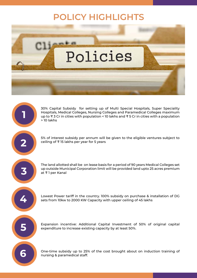# **POLICY HIGHLIGHTS**



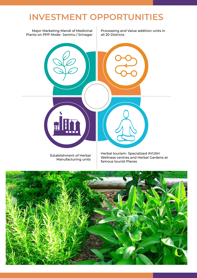# **INVESTMENT OPPORTUNITIES**



Establishment of Herbal Manufacturing units

Herbal tourism- Specialized AYUSH Wellness centres and Herbal Gardens at famous tourist Places